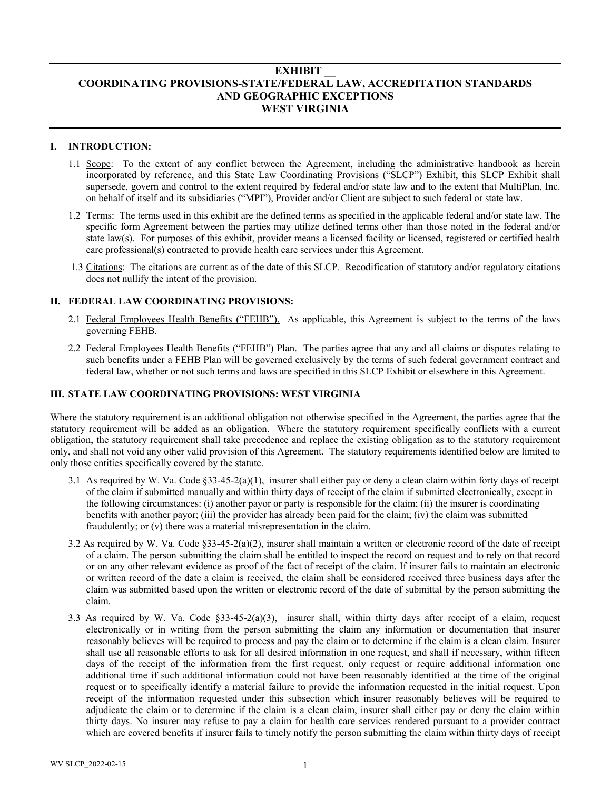# **EXHIBIT \_\_ COORDINATING PROVISIONS-STATE/FEDERAL LAW, ACCREDITATION STANDARDS AND GEOGRAPHIC EXCEPTIONS WEST VIRGINIA**

# **I. INTRODUCTION:**

- 1.1 Scope: To the extent of any conflict between the Agreement, including the administrative handbook as herein incorporated by reference, and this State Law Coordinating Provisions ("SLCP") Exhibit, this SLCP Exhibit shall supersede, govern and control to the extent required by federal and/or state law and to the extent that MultiPlan, Inc. on behalf of itself and its subsidiaries ("MPI"), Provider and/or Client are subject to such federal or state law.
- 1.2 Terms: The terms used in this exhibit are the defined terms as specified in the applicable federal and/or state law. The specific form Agreement between the parties may utilize defined terms other than those noted in the federal and/or state law(s). For purposes of this exhibit, provider means a licensed facility or licensed, registered or certified health care professional(s) contracted to provide health care services under this Agreement.
- 1.3 Citations: The citations are current as of the date of this SLCP. Recodification of statutory and/or regulatory citations does not nullify the intent of the provision.

## **II. FEDERAL LAW COORDINATING PROVISIONS:**

- 2.1 Federal Employees Health Benefits ("FEHB"). As applicable, this Agreement is subject to the terms of the laws governing FEHB.
- 2.2 Federal Employees Health Benefits ("FEHB") Plan. The parties agree that any and all claims or disputes relating to such benefits under a FEHB Plan will be governed exclusively by the terms of such federal government contract and federal law, whether or not such terms and laws are specified in this SLCP Exhibit or elsewhere in this Agreement.

# **III. STATE LAW COORDINATING PROVISIONS: WEST VIRGINIA**

Where the statutory requirement is an additional obligation not otherwise specified in the Agreement, the parties agree that the statutory requirement will be added as an obligation. Where the statutory requirement specifically conflicts with a current obligation, the statutory requirement shall take precedence and replace the existing obligation as to the statutory requirement only, and shall not void any other valid provision of this Agreement. The statutory requirements identified below are limited to only those entities specifically covered by the statute.

- 3.1 As required by W. Va. Code §33-45-2(a)(1), insurer shall either pay or deny a clean claim within forty days of receipt of the claim if submitted manually and within thirty days of receipt of the claim if submitted electronically, except in the following circumstances: (i) another payor or party is responsible for the claim; (ii) the insurer is coordinating benefits with another payor; (iii) the provider has already been paid for the claim; (iv) the claim was submitted fraudulently; or (v) there was a material misrepresentation in the claim.
- 3.2 As required by W. Va. Code §33-45-2(a)(2), insurer shall maintain a written or electronic record of the date of receipt of a claim. The person submitting the claim shall be entitled to inspect the record on request and to rely on that record or on any other relevant evidence as proof of the fact of receipt of the claim. If insurer fails to maintain an electronic or written record of the date a claim is received, the claim shall be considered received three business days after the claim was submitted based upon the written or electronic record of the date of submittal by the person submitting the claim.
- 3.3 As required by W. Va. Code §33-45-2(a)(3), insurer shall, within thirty days after receipt of a claim, request electronically or in writing from the person submitting the claim any information or documentation that insurer reasonably believes will be required to process and pay the claim or to determine if the claim is a clean claim. Insurer shall use all reasonable efforts to ask for all desired information in one request, and shall if necessary, within fifteen days of the receipt of the information from the first request, only request or require additional information one additional time if such additional information could not have been reasonably identified at the time of the original request or to specifically identify a material failure to provide the information requested in the initial request. Upon receipt of the information requested under this subsection which insurer reasonably believes will be required to adjudicate the claim or to determine if the claim is a clean claim, insurer shall either pay or deny the claim within thirty days. No insurer may refuse to pay a claim for health care services rendered pursuant to a provider contract which are covered benefits if insurer fails to timely notify the person submitting the claim within thirty days of receipt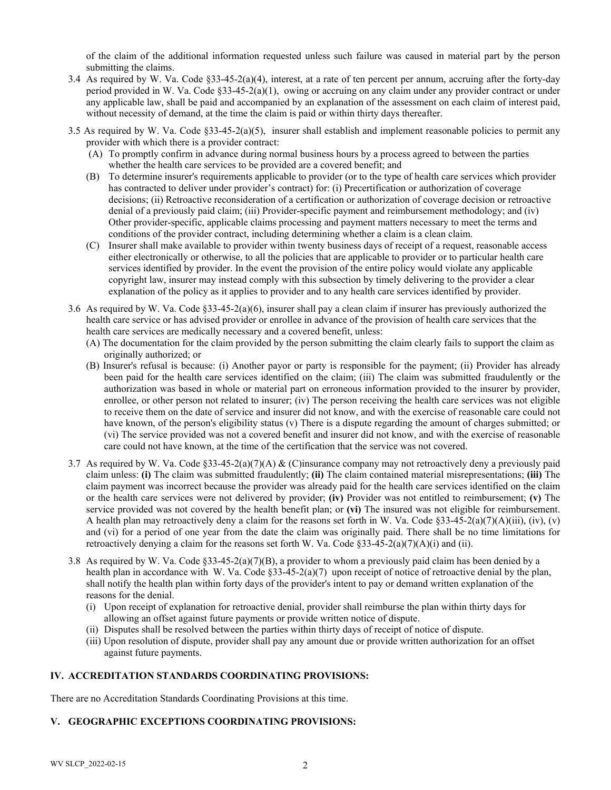of the claim of the additional information requested unless such failure was caused in material part by the person submitting the claims.

- 3.4 As required by W. Va. Code §33-45-2(a)(4), interest, at a rate of ten percent per annum, accruing after the forty-day period provided in W. Va. Code §33-45-2(a)(1), owing or accruing on any claim under any provider contract or under any applicable law, shall be paid and accompanied by an explanation of the assessment on each claim of interest paid, without necessity of demand, at the time the claim is paid or within thirty days thereafter.
- 3.5 As required by W. Va. Code  $\S 33-45-2(a)(5)$ , insurer shall establish and implement reasonable policies to permit any provider with which there is a provider contract:
	- (A) To promptly confirm in advance during normal business hours by a process agreed to between the parties whether the health care services to be provided are a covered benefit; and
	- (B) To determine insurer's requirements applicable to provider (or to the type of health care services which provider has contracted to deliver under provider's contract) for: (i) Precertification or authorization of coverage decisions; (ii) Retroactive reconsideration of a certification or authorization of coverage decision or retroactive denial of a previously paid claim; (iii) Provider-specific payment and reimbursement methodology; and (iv) Other provider-specific, applicable claims processing and payment matters necessary to meet the terms and conditions of the provider contract, including determining whether a claim is a clean claim.
	- (C) Insurer shall make available to provider within twenty business days of receipt of a request, reasonable access either electronically or otherwise, to all the policies that are applicable to provider or to particular health care services identified by provider. In the event the provision of the entire policy would violate any applicable copyright law, insurer may instead comply with this subsection by timely delivering to the provider a clear explanation of the policy as it applies to provider and to any health care services identified by provider.
- 3.6 As required by W. Va. Code §33-45-2(a)(6), insurer shall pay a clean claim if insurer has previously authorized the health care service or has advised provider or enrollee in advance of the provision of health care services that the health care services are medically necessary and a covered benefit, unless:
	- (A) The documentation for the claim provided by the person submitting the claim clearly fails to support the claim as originally authorized; or
	- (B) Insurer's refusal is because: (i) Another payor or party is responsible for the payment; (ii) Provider has already been paid for the health care services identified on the claim; (iii) The claim was submitted fraudulently or the authorization was based in whole or material part on erroneous information provided to the insurer by provider, enrollee, or other person not related to insurer; (iv) The person receiving the health care services was not eligible to receive them on the date of service and insurer did not know, and with the exercise of reasonable care could not have known, of the person's eligibility status (v) There is a dispute regarding the amount of charges submitted; or (vi) The service provided was not a covered benefit and insurer did not know, and with the exercise of reasonable care could not have known, at the time of the certification that the service was not covered.
- 3.7 As required by W. Va. Code §33-45-2(a)(7)(A) & (C)insurance company may not retroactively deny a previously paid claim unless: **(i)** The claim was submitted fraudulently; **(ii)** The claim contained material misrepresentations; **(iii)** The claim payment was incorrect because the provider was already paid for the health care services identified on the claim or the health care services were not delivered by provider; **(iv)** Provider was not entitled to reimbursement; **(v)** The service provided was not covered by the health benefit plan; or **(vi)** The insured was not eligible for reimbursement. A health plan may retroactively deny a claim for the reasons set forth in W. Va. Code  $\S 33-45-2(a)(7)(A)(iii)$ , (iv), (v) and (vi) for a period of one year from the date the claim was originally paid. There shall be no time limitations for retroactively denying a claim for the reasons set forth W. Va. Code  $\S 33-45-2(a)(7)(A)(i)$  and (ii).
- 3.8 As required by W. Va. Code §33-45-2(a)(7)(B), a provider to whom a previously paid claim has been denied by a health plan in accordance with W. Va. Code §33-45-2(a)(7) upon receipt of notice of retroactive denial by the plan, shall notify the health plan within forty days of the provider's intent to pay or demand written explanation of the reasons for the denial.
	- (i) Upon receipt of explanation for retroactive denial, provider shall reimburse the plan within thirty days for allowing an offset against future payments or provide written notice of dispute.
	- (ii) Disputes shall be resolved between the parties within thirty days of receipt of notice of dispute.
	- (iii) Upon resolution of dispute, provider shall pay any amount due or provide written authorization for an offset against future payments.

## **IV. ACCREDITATION STANDARDS COORDINATING PROVISIONS:**

There are no Accreditation Standards Coordinating Provisions at this time.

## **V. GEOGRAPHIC EXCEPTIONS COORDINATING PROVISIONS:**